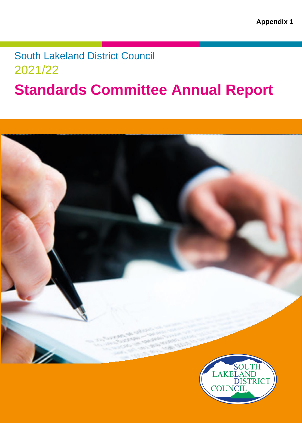## South Lakeland District Council 2021/22

l<br>L

# **Standards Committee Annual Report**



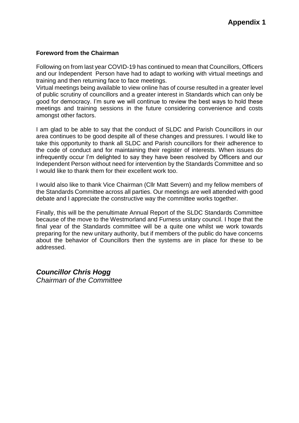#### **Foreword from the Chairman**

Following on from last year COVID-19 has continued to mean that Councillors, Officers and our Independent Person have had to adapt to working with virtual meetings and training and then returning face to face meetings.

Virtual meetings being available to view online has of course resulted in a greater level of public scrutiny of councillors and a greater interest in Standards which can only be good for democracy. I'm sure we will continue to review the best ways to hold these meetings and training sessions in the future considering convenience and costs amongst other factors.

I am glad to be able to say that the conduct of SLDC and Parish Councillors in our area continues to be good despite all of these changes and pressures. I would like to take this opportunity to thank all SLDC and Parish councillors for their adherence to the code of conduct and for maintaining their register of interests. When issues do infrequently occur I'm delighted to say they have been resolved by Officers and our Independent Person without need for intervention by the Standards Committee and so I would like to thank them for their excellent work too.

I would also like to thank Vice Chairman (Cllr Matt Severn) and my fellow members of the Standards Committee across all parties. Our meetings are well attended with good debate and I appreciate the constructive way the committee works together.

Finally, this will be the penultimate Annual Report of the SLDC Standards Committee because of the move to the Westmorland and Furness unitary council. I hope that the final year of the Standards committee will be a quite one whilst we work towards preparing for the new unitary authority, but if members of the public do have concerns about the behavior of Councillors then the systems are in place for these to be addressed.

*Councillor Chris Hogg Chairman of the Committee*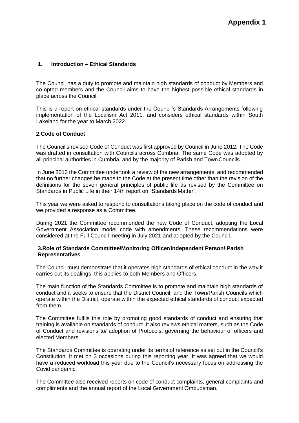#### **1. Introduction – Ethical Standards**

The Council has a duty to promote and maintain high standards of conduct by Members and co-opted members and the Council aims to have the highest possible ethical standards in place across the Council.

This is a report on ethical standards under the Council's Standards Arrangements following implementation of the Localism Act 2011, and considers ethical standards within South Lakeland for the year to March 2022.

#### **2.Code of Conduct**

The Council's revised Code of Conduct was first approved by Council in June 2012. The Code was drafted in consultation with Councils across Cumbria. The same Code was adopted by all principal authorities in Cumbria, and by the majority of Parish and TownCouncils.

In June 2013 the Committee undertook a review of the new arrangements, and recommended that no further changes be made to the Code at the present time other than the revision of the definitions for the seven general principles of public life as revised by the Committee on Standards in Public Life in their 14th report on "Standards Matter".

This year we were asked to respond to consultations taking place on the code of conduct and we provided a response as a Committee.

During 2021 the Committee recommended the new Code of Conduct, adopting the Local Government Association model code with amendments. These recommendations were considered at the Full Council meeting in July 2021 and adopted by the Council.

#### **3.Role of Standards Committee/Monitoring Officer/Independent Person/ Parish Representatives**

The Council must demonstrate that it operates high standards of ethical conduct in the way it carries out its dealings; this applies to both Members and Officers.

The main function of the Standards Committee is to promote and maintain high standards of conduct and it seeks to ensure that the District Council, and the Town/Parish Councils which operate within the District, operate within the expected ethical standards of conduct expected from them.

The Committee fulfils this role by promoting good standards of conduct and ensuring that training is available on standards of conduct. It also reviews ethical matters, such as the Code of Conduct and revisions to/ adoption of Protocols, governing the behaviour of officers and elected Members.

The Standards Committee is operating under its terms of reference as set out in the Council's Constitution. It met on 3 occasions during this reporting year. It was agreed that we would have a reduced workload this year due to the Council's necessary focus on addressing the Covid pandemic.

The Committee also received reports on code of conduct complaints, general complaints and compliments and the annual report of the Local Government Ombudsman.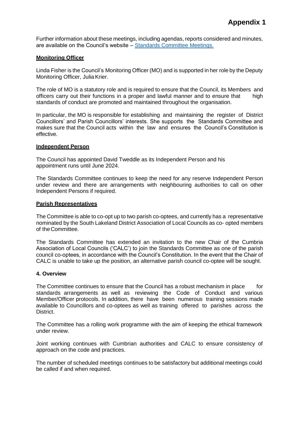Further information about these meetings, including agendas, reports considered and minutes, are available on the Council's website – Standards Committee [Meetings.](https://democracy.southlakeland.gov.uk/mgCommitteeDetails.aspx?ID=139)

#### **Monitoring Officer**

Linda Fisher is the Council's Monitoring Officer (MO) and is supported in her role by the Deputy Monitoring Officer, Julia Krier.

The role of MO is a statutory role and is required to ensure that the Council, its Members and officers carry out their functions in a proper and lawful manner and to ensure that high standards of conduct are promoted and maintained throughout the organisation.

In particular, the MO is responsible for establishing and maintaining the register of District Councillors' and Parish Councillors' interests. She supports the Standards Committee and makes sure that the Council acts within the law and ensures the Council's Constitution is effective.

#### **Independent Person**

The Council has appointed David Tweddle as its Independent Person and his appointment runs until June 2024.

The Standards Committee continues to keep the need for any reserve Independent Person under review and there are arrangements with neighbouring authorities to call on other Independent Persons if required.

#### **Parish Representatives**

The Committee is able to co-opt up to two parish co-optees, and currently has a representative nominated by the South Lakeland District Association of Local Councils as co- opted members of theCommittee.

The Standards Committee has extended an invitation to the new Chair of the Cumbria Association of Local Councils ('CALC') to join the Standards Committee as one of the parish council co-optees, in accordance with the Council's Constitution. In the event that the Chair of CALC is unable to take up the position, an alternative parish council co-optee will be sought.

#### **4. Overview**

The Committee continues to ensure that the Council has a robust mechanism in place for standards arrangements as well as reviewing the Code of Conduct and various Member/Officer protocols. In addition, there have been numerous training sessions made available to Councillors and co-optees as well as training offered to parishes across the District.

The Committee has a rolling work programme with the aim of keeping the ethical framework under review.

Joint working continues with Cumbrian authorities and CALC to ensure consistency of approach on the code and practices.

The number of scheduled meetings continues to be satisfactory but additional meetings could be called if and when required.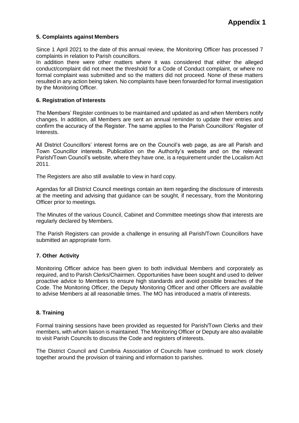#### **5. Complaints against Members**

Since 1 April 2021 to the date of this annual review, the Monitoring Officer has processed 7 complaints in relation to Parish councillors.

In addition there were other matters where it was considered that either the alleged conduct/complaint did not meet the threshold for a Code of Conduct complaint, or where no formal complaint was submitted and so the matters did not proceed. None of these matters resulted in any action being taken. No complaints have been forwarded for formal investigation by the Monitoring Officer.

#### **6. Registration of Interests**

The Members' Register continues to be maintained and updated as and when Members notify changes. In addition, all Members are sent an annual reminder to update their entries and confirm the accuracy of the Register. The same applies to the Parish Councillors' Register of Interests.

All District Councillors' interest forms are on the Council's web page, as are all Parish and Town Councillor interests. Publication on the Authority's website and on the relevant Parish/Town Council's website, where they have one, is a requirement under the Localism Act 2011.

The Registers are also still available to view in hard copy.

Agendas for all District Council meetings contain an item regarding the disclosure of interests at the meeting and advising that guidance can be sought, if necessary, from the Monitoring Officer prior to meetings.

The Minutes of the various Council, Cabinet and Committee meetings show that interests are regularly declared by Members.

The Parish Registers can provide a challenge in ensuring all Parish/Town Councillors have submitted an appropriate form.

#### **7. Other Activity**

Monitoring Officer advice has been given to both individual Members and corporately as required, and to Parish Clerks/Chairmen. Opportunities have been sought and used to deliver proactive advice to Members to ensure high standards and avoid possible breaches of the Code. The Monitoring Officer, the Deputy Monitoring Officer and other Officers are available to advise Members at all reasonable times. The MO has introduced a matrix of interests.

#### **8. Training**

Formal training sessions have been provided as requested for Parish/Town Clerks and their members, with whom liaison is maintained. The Monitoring Officer or Deputy are also available to visit Parish Councils to discuss the Code and registers of interests.

The District Council and Cumbria Association of Councils have continued to work closely together around the provision of training and information to parishes.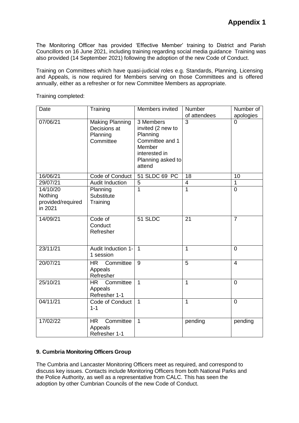The Monitoring Officer has provided 'Effective Member' training to District and Parish Councillors on 16 June 2021, including training regarding social media guidance Training was also provided (14 September 2021) following the adoption of the new Code of Conduct.

Training on Committees which have quasi-judicial roles e.g. Standards, Planning, Licensing and Appeals, is now required for Members serving on those Committees and is offered annually, either as a refresher or for new Committee Members as appropriate.

| Date                                                | Training                                                        | Members invited                                                                                                         | Number<br>of attendees  | Number of<br>apologies |
|-----------------------------------------------------|-----------------------------------------------------------------|-------------------------------------------------------------------------------------------------------------------------|-------------------------|------------------------|
| 07/06/21                                            | <b>Making Planning</b><br>Decisions at<br>Planning<br>Committee | 3 Members<br>invited (2 new to<br>Planning<br>Committee and 1<br>Member<br>interested in<br>Planning asked to<br>attend | $\overline{3}$          | $\Omega$               |
| 16/06/21                                            | <b>Code of Conduct</b>                                          | 51 SLDC 69 PC                                                                                                           | 18                      | 10                     |
| 29/07/21                                            | Audit Induction                                                 | 5                                                                                                                       | $\overline{\mathbf{4}}$ | $\mathbf{1}$           |
| 14/10/20<br>Nothing<br>provided/required<br>in 2021 | Planning<br>Substitute<br>Training                              | $\overline{1}$                                                                                                          | $\overline{1}$          | $\overline{0}$         |
| 14/09/21                                            | Code of<br>Conduct<br>Refresher                                 | 51 SLDC                                                                                                                 | 21                      | $\overline{7}$         |
| 23/11/21                                            | Audit Induction 1-<br>1 session                                 | $\overline{1}$                                                                                                          | $\overline{1}$          | $\overline{0}$         |
| 20/07/21                                            | Committee<br>HR<br>Appeals<br>Refresher                         | 9                                                                                                                       | 5                       | $\overline{4}$         |
| 25/10/21                                            | Committee<br><b>HR</b><br>Appeals<br>Refresher 1-1              | $\mathbf{1}$                                                                                                            | $\mathbf{1}$            | $\Omega$               |
| 04/11/21                                            | Code of Conduct<br>$1 - 1$                                      | $\mathbf{1}$                                                                                                            | $\mathbf 1$             | $\overline{0}$         |
| 17/02/22                                            | Committee<br><b>HR</b><br>Appeals<br>Refresher 1-1              | $\mathbf{1}$                                                                                                            | pending                 | pending                |

Training completed:

#### **9. Cumbria Monitoring Officers Group**

The Cumbria and Lancaster Monitoring Officers meet as required, and correspond to discuss key issues. Contacts include Monitoring Officers from both National Parks and the Police Authority, as well as a representative from CALC. This has seen the adoption by other Cumbrian Councils of the new Code of Conduct.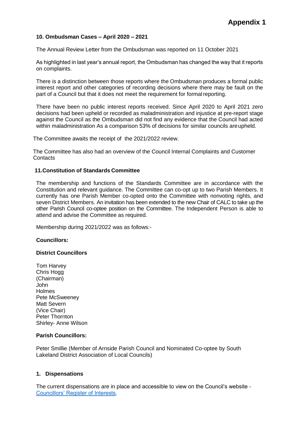#### **10. Ombudsman Cases – April 2020 – 2021**

The Annual Review Letter from the Ombudsman was reported on 11 October 2021

As highlighted in last year's annual report, the Ombudsman has changed the way that it reports on complaints.

There is a distinction between those reports where the Ombudsman produces a formal public interest report and other categories of recording decisions where there may be fault on the part of a Council but that it does not meet the requirement for formalreporting.

There have been no public interest reports received. Since April 2020 to April 2021 zero decisions had been upheld or recorded as maladministration and injustice at pre-report stage against the Council as the Ombudsman did not find any evidence that the Council had acted within maladministration As a comparison 53% of decisions for similar councils areupheld.

The Committee awaits the receipt of the 2021/2022 review.

The Committee has also had an overview of the Council Internal Complaints and Customer **Contacts** 

#### **11.Constitution of Standards Committee**

The membership and functions of the Standards Committee are in accordance with the Constitution and relevant guidance. The Committee can co-opt up to two Parish Members. It currently has one Parish Member co-opted onto the Committee with nonvoting rights, and seven District Members. An invitation has been extended to the new Chair of CALC to take up the other Parish Council co-optee position on the Committee. The Independent Person is able to attend and advise the Committee as required.

Membership during 2021/2022 was as follows:-

#### **Councillors:**

#### **District Councillors**

 Tom Harvey Chris Hogg (Chairman) John **Holmes** Pete McSweeney Matt Severn (Vice Chair) Peter Thornton Shirley- Anne Wilson

#### **Parish Councillors:**

Peter Smillie (Member of Arnside Parish Council and Nominated Co-optee by South Lakeland District Association of Local Councils)

#### **1. Dispensations**

[The current dispensations are in](https://www.southlakeland.gov.uk/your-council/councillors-and-decisions/councillors/councillors-register-of-interests/#gsc.tab%3D0) place and accessible to view on the Council's website - Councillors' Register of Interests.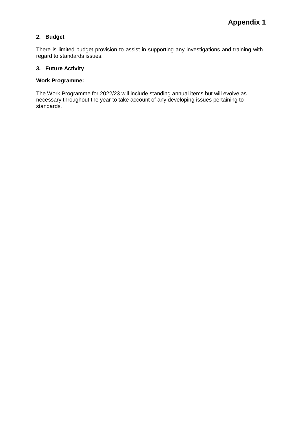#### **2. Budget**

There is limited budget provision to assist in supporting any investigations and training with regard to standards issues.

#### **3. Future Activity**

#### **Work Programme:**

The Work Programme for 2022/23 will include standing annual items but will evolve as necessary throughout the year to take account of any developing issues pertaining to standards.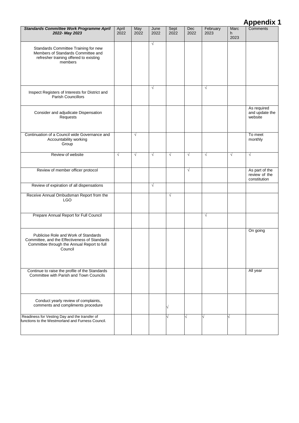### **Appendix 1**

| Standards Committee Work Programme April<br>2022- May 2023                                                                                      | April<br>2022 | May<br>2022 | June<br>2022 | Sept<br>2022 | Dec<br>2022 | February<br>2023 | Marc<br>h.<br>2023 | Comments                                        |
|-------------------------------------------------------------------------------------------------------------------------------------------------|---------------|-------------|--------------|--------------|-------------|------------------|--------------------|-------------------------------------------------|
| Standards Committee Training for new<br>Members of Standards Committee and<br>refresher training offered to existing<br>members                 |               |             | $\sqrt{}$    |              |             |                  |                    |                                                 |
| Inspect Registers of Interests for District and<br><b>Parish Councillors</b>                                                                    |               |             | $\sqrt{ }$   |              |             | $\sqrt{}$        |                    |                                                 |
| Consider and adjudicate Dispensation<br>Requests                                                                                                |               |             |              |              |             |                  |                    | As required<br>and update the<br>website        |
| Continuation of a Council wide Governance and<br>Accountability working<br>Group                                                                |               | $\sqrt{ }$  |              |              |             |                  |                    | To meet<br>monthly                              |
| Review of website                                                                                                                               | $\sqrt{}$     | $\sqrt{}$   | $\sqrt{ }$   | $\sqrt{ }$   | $\sqrt{ }$  | $\sqrt{ }$       | $\sqrt{ }$         | $\sqrt{ }$                                      |
| Review of member officer protocol                                                                                                               |               |             |              |              | $\sqrt{}$   |                  |                    | As part of the<br>review of the<br>constitution |
| Review of expiration of all dispensations                                                                                                       |               |             | $\sqrt{ }$   |              |             |                  |                    |                                                 |
| Receive Annual Ombudsman Report from the<br>LGO                                                                                                 |               |             |              | $\sqrt{ }$   |             |                  |                    |                                                 |
| Prepare Annual Report for Full Council                                                                                                          |               |             |              |              |             | $\sqrt{}$        |                    |                                                 |
| Publicise Role and Work of Standards<br>Committee, and the Effectiveness of Standards<br>Committee through the Annual Report to full<br>Council |               |             |              |              |             |                  |                    | On going                                        |
| Continue to raise the profile of the Standards<br>Committee with Parish and Town Councils                                                       |               |             |              |              |             |                  |                    | All year                                        |
| Conduct yearly review of complaints,<br>comments and compliments procedure                                                                      |               |             |              |              |             |                  |                    |                                                 |
| Readiness for Vesting Day and the transfer of<br>functions to the Westmorland and Furness Council.                                              |               |             |              |              |             |                  |                    |                                                 |